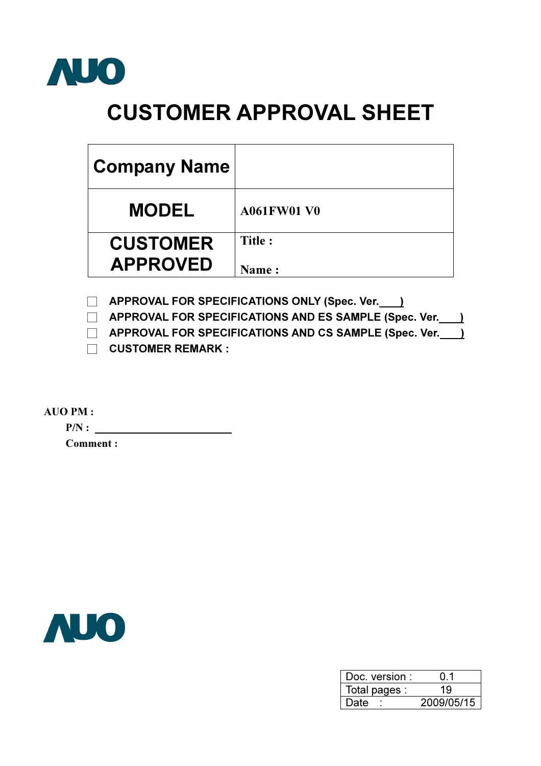

# CUSTOMER APPROVAL SHEET

| <b>Company Name</b>                |                        |
|------------------------------------|------------------------|
| <b>MODEL</b>                       | <b>A061FW01 V0</b>     |
| <b>CUSTOMER</b><br><b>APPROVED</b> | Title:<br><b>Name:</b> |

**APPROVAL FOR SPECIFICATIONS ONLY (Spec. Ver.** )

**EXECUTE APPROVAL FOR SPECIFICATIONS AND ES SAMPLE (Spec. Ver.** )

**EXECUTE APPROVAL FOR SPECIFICATIONS AND CS SAMPLE (Spec. Ver.** )

 $\Box$  CUSTOMER REMARK :

AUO PM :

 $P/N:$ 

Comment :



| Doc. version : | () 1       |
|----------------|------------|
| Total pages :  | 19         |
| Date           | 2009/05/15 |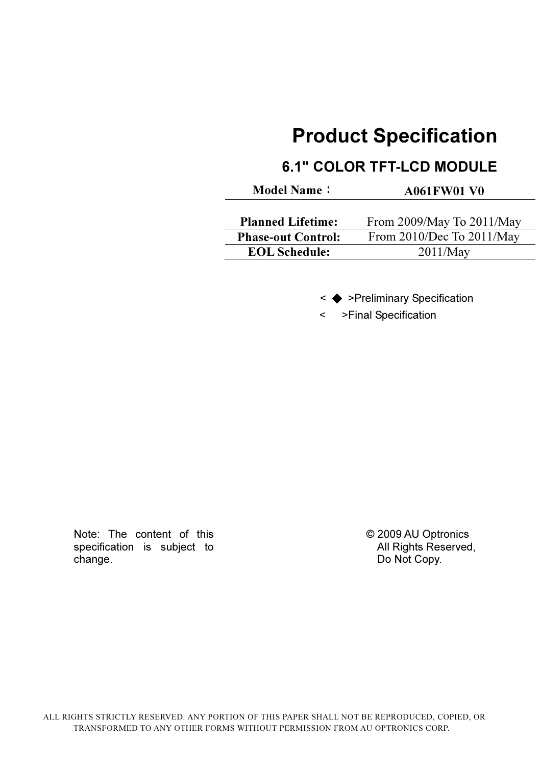## Product Specification

## 6.1" COLOR TFT-LCD MODULE

Model Name: A061FW01 V0

| <b>Planned Lifetime:</b>  | From 2009/May To 2011/May |
|---------------------------|---------------------------|
| <b>Phase-out Control:</b> | From 2010/Dec To 2011/May |
| <b>EOL Schedule:</b>      | 2011/May                  |

< ◆ >Preliminary Specification

< >Final Specification

Note: The content of this specification is subject to change.

 © 2009 AU Optronics All Rights Reserved, Do Not Copy.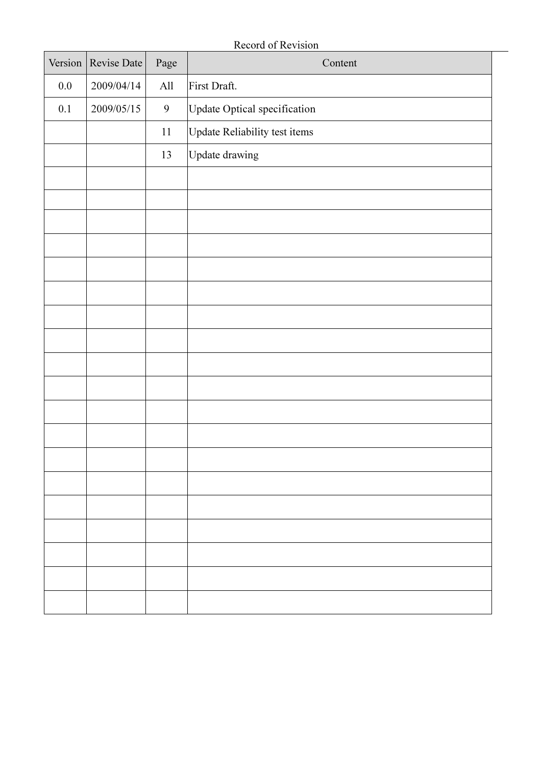Record of Revision

| Version | Revise Date | Page           | Content                       |
|---------|-------------|----------------|-------------------------------|
| $0.0\,$ | 2009/04/14  | $\rm All$      | First Draft.                  |
| 0.1     | 2009/05/15  | $\overline{9}$ | Update Optical specification  |
|         |             | $11\,$         | Update Reliability test items |
|         |             | 13             | Update drawing                |
|         |             |                |                               |
|         |             |                |                               |
|         |             |                |                               |
|         |             |                |                               |
|         |             |                |                               |
|         |             |                |                               |
|         |             |                |                               |
|         |             |                |                               |
|         |             |                |                               |
|         |             |                |                               |
|         |             |                |                               |
|         |             |                |                               |
|         |             |                |                               |
|         |             |                |                               |
|         |             |                |                               |
|         |             |                |                               |
|         |             |                |                               |
|         |             |                |                               |
|         |             |                |                               |
|         |             |                |                               |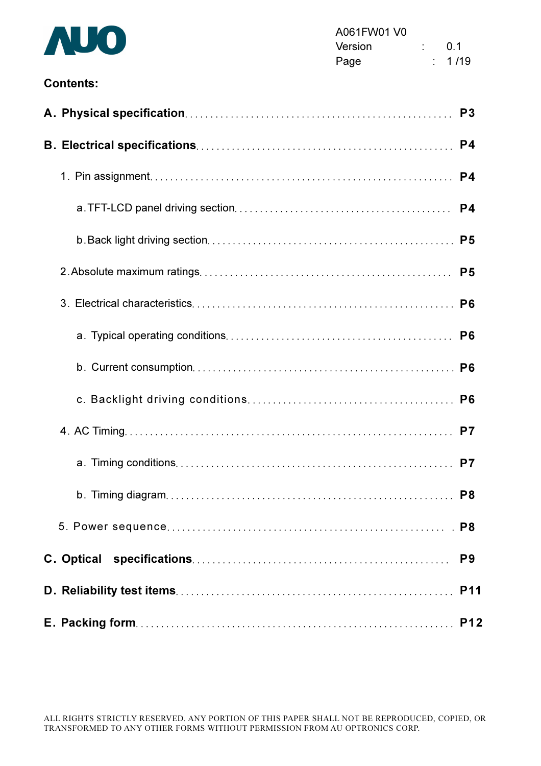

#### Contents:

|  | P <sub>3</sub> |
|--|----------------|
|  | P <sub>4</sub> |
|  |                |
|  |                |
|  |                |
|  |                |
|  |                |
|  |                |
|  |                |
|  |                |
|  |                |
|  |                |
|  |                |
|  |                |
|  | P <sub>9</sub> |
|  |                |
|  |                |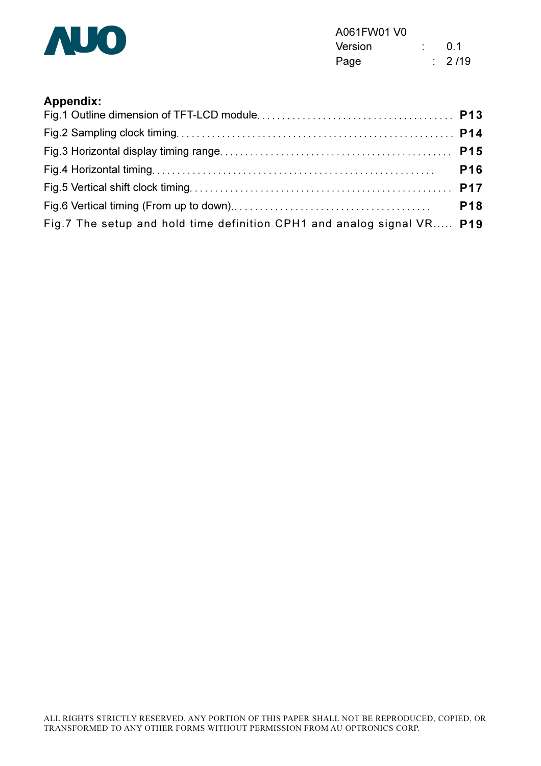

| A061FW01 V0 |  |                   |
|-------------|--|-------------------|
| Version     |  | 0.1               |
| Page        |  | $\frac{1}{2}$ /19 |

#### Appendix:

|                                                                        | <b>P16</b> |
|------------------------------------------------------------------------|------------|
|                                                                        |            |
|                                                                        | <b>P18</b> |
| Fig.7 The setup and hold time definition CPH1 and analog signal VR P19 |            |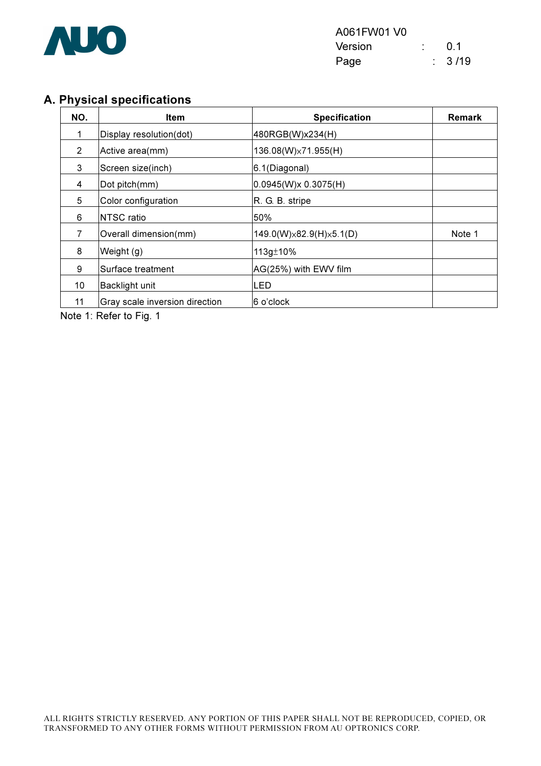

#### A. Physical specifications

| NO. | <b>Item</b>                    | <b>Specification</b>                | <b>Remark</b> |
|-----|--------------------------------|-------------------------------------|---------------|
| 1   | Display resolution(dot)        | 480RGB(W)x234(H)                    |               |
| 2   | Active area(mm)                | 136.08(W)×71.955(H)                 |               |
| 3   | Screen size(inch)              | 6.1(Diagonal)                       |               |
| 4   | Dot pitch(mm)                  | 0.0945(W)x 0.3075(H)                |               |
| 5   | Color configuration            | R. G. B. stripe                     |               |
| 6   | <b>NTSC ratio</b>              | 50%                                 |               |
| 7   | Overall dimension(mm)          | $149.0(W)\times82.9(H)\times5.1(D)$ | Note 1        |
| 8   | Weight (g)                     | 113g±10%                            |               |
| 9   | Surface treatment              | AG(25%) with EWV film               |               |
| 10  | Backlight unit                 | LED                                 |               |
| 11  | Gray scale inversion direction | 6 o'clock                           |               |

Note 1: Refer to Fig. 1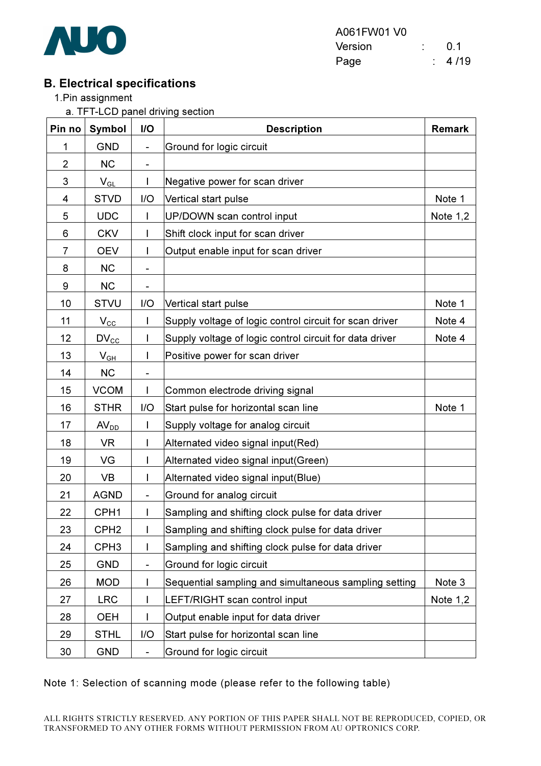

| A061FW01 V0 |  |                |
|-------------|--|----------------|
| Version     |  | 0 <sub>1</sub> |
| Page        |  | 4/19           |

#### B. Electrical specifications

1.Pin assignment

a. TFT-LCD panel driving section

| Pin no         | <b>Symbol</b>    | I/O                      | <b>Description</b>                                      |            |
|----------------|------------------|--------------------------|---------------------------------------------------------|------------|
| 1              | <b>GND</b>       | $\overline{\phantom{a}}$ | Ground for logic circuit                                |            |
| $\overline{2}$ | <b>NC</b>        | ۰                        |                                                         |            |
| 3              | $V_{GL}$         |                          | Negative power for scan driver                          |            |
| 4              | <b>STVD</b>      | I/O                      | Vertical start pulse                                    | Note 1     |
| 5              | <b>UDC</b>       |                          | UP/DOWN scan control input                              | Note $1,2$ |
| 6              | <b>CKV</b>       |                          | Shift clock input for scan driver                       |            |
| 7              | <b>OEV</b>       |                          | Output enable input for scan driver                     |            |
| 8              | <b>NC</b>        | $\overline{\phantom{a}}$ |                                                         |            |
| 9              | <b>NC</b>        |                          |                                                         |            |
| 10             | <b>STVU</b>      | I/O                      | Vertical start pulse                                    | Note 1     |
| 11             | $V_{\rm CC}$     |                          | Supply voltage of logic control circuit for scan driver | Note 4     |
| 12             | $DV_{\text{cc}}$ |                          | Supply voltage of logic control circuit for data driver | Note 4     |
| 13             | $V_{GH}$         |                          | Positive power for scan driver                          |            |
| 14             | <b>NC</b>        |                          |                                                         |            |
| 15             | <b>VCOM</b>      | $\mathbf{I}$             | Common electrode driving signal                         |            |
| 16             | <b>STHR</b>      | I/O                      | Start pulse for horizontal scan line                    | Note 1     |
| 17             | AV <sub>DD</sub> | L                        | Supply voltage for analog circuit                       |            |
| 18             | VR.              |                          | Alternated video signal input(Red)                      |            |
| 19             | VG               |                          | Alternated video signal input(Green)                    |            |
| 20             | <b>VB</b>        |                          | Alternated video signal input(Blue)                     |            |
| 21             | <b>AGND</b>      | $\overline{\phantom{a}}$ | Ground for analog circuit                               |            |
| 22             | CPH <sub>1</sub> |                          | Sampling and shifting clock pulse for data driver       |            |
| 23             | CPH <sub>2</sub> | L                        | Sampling and shifting clock pulse for data driver       |            |
| 24             | CPH <sub>3</sub> |                          | Sampling and shifting clock pulse for data driver       |            |
| 25             | <b>GND</b>       | $\overline{\phantom{a}}$ | Ground for logic circuit                                |            |
| 26             | <b>MOD</b>       |                          | Sequential sampling and simultaneous sampling setting   | Note 3     |
| 27             | <b>LRC</b>       |                          | LEFT/RIGHT scan control input                           | Note $1,2$ |
| 28             | <b>OEH</b>       | L                        | Output enable input for data driver                     |            |
| 29             | <b>STHL</b>      | I/O                      | Start pulse for horizontal scan line                    |            |
| 30             | <b>GND</b>       | $\frac{1}{2}$            | Ground for logic circuit                                |            |

#### Note 1: Selection of scanning mode (please refer to the following table)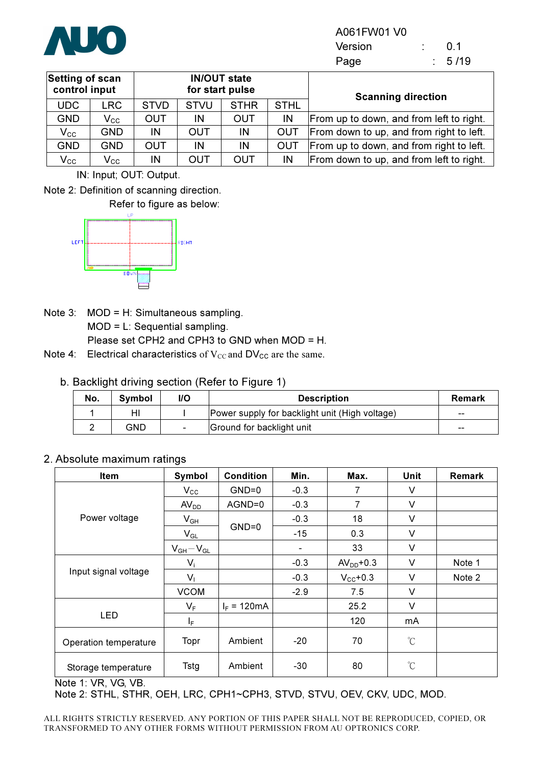

Version : 0.1 Page : 5/19

| <b>Setting of scan</b><br>control input |                   |             |             | <b>IN/OUT state</b><br>for start pulse |             | <b>Scanning direction</b>                |
|-----------------------------------------|-------------------|-------------|-------------|----------------------------------------|-------------|------------------------------------------|
| <b>UDC</b>                              | <b>LRC</b>        | <b>STVD</b> | <b>STVU</b> | <b>STHR</b>                            | <b>STHL</b> |                                          |
| <b>GND</b>                              | $V_{\rm CC}$      | <b>OUT</b>  | IN          | <b>OUT</b>                             | IN          | From up to down, and from left to right. |
| $\mathsf{V_{CC}}$                       | <b>GND</b>        | IN          | <b>OUT</b>  | IN                                     | OUT         | From down to up, and from right to left. |
| <b>GND</b>                              | <b>GND</b>        | <b>OUT</b>  | IN          | IN                                     | OUT         | From up to down, and from right to left. |
| $\mathsf{V_{cc}}$                       | $\mathsf{V_{CC}}$ | IN          | <b>OUT</b>  | <b>OUT</b>                             | IN          | From down to up, and from left to right. |

IN: Input; OUT: Output.

Note 2: Definition of scanning direction.



Note 3: MOD = H: Simultaneous sampling. MOD = L: Sequential sampling. Please set CPH2 and CPH3 to GND when MOD = H.

Note 4: Electrical characteristics of  $V_{CC}$  and  $DV_{CC}$  are the same.

| No. | <b>Symbol</b> | I/O                      | <b>Description</b>                             | <b>Remark</b> |
|-----|---------------|--------------------------|------------------------------------------------|---------------|
|     | HI            |                          | Power supply for backlight unit (High voltage) | $- -$         |
|     | GND           | $\overline{\phantom{0}}$ | Ground for backlight unit                      | $- -$         |

#### 2. Absolute maximum ratings

| Item                  | Symbol           | <b>Condition</b> | Min.   | Max.                 | Unit                 | Remark |
|-----------------------|------------------|------------------|--------|----------------------|----------------------|--------|
|                       | $V_{\rm CC}$     | $GND=0$          | $-0.3$ | 7                    | V                    |        |
|                       | AV <sub>DD</sub> | AGND=0           | $-0.3$ | 7                    | V                    |        |
| Power voltage         | $V_{GH}$         |                  | $-0.3$ | 18                   | V                    |        |
|                       | $V_{GL}$         | $GND=0$          | $-15$  | 0.3                  | V                    |        |
|                       | $V_{GH}-V_{GL}$  |                  | -      | 33                   | $\vee$               |        |
|                       | $V_i$            |                  | $-0.3$ | $AVDD+0.3$           | V                    | Note 1 |
| Input signal voltage  | $V_1$            |                  | $-0.3$ | $V_{\text{CC}}$ +0.3 | $\vee$               | Note 2 |
|                       | <b>VCOM</b>      |                  | $-2.9$ | 7.5                  | V                    |        |
|                       | $V_F$            | $I_F = 120mA$    |        | 25.2                 | V                    |        |
| <b>LED</b>            | I <sub>F</sub>   |                  |        | 120                  | mA                   |        |
| Operation temperature | Topr             | Ambient          | $-20$  | 70                   | $\mathrm{C}^{\circ}$ |        |
| Storage temperature   | Tstg             | Ambient          | $-30$  | 80                   | $\rm{C}$             |        |

Note 1: VR, VG, VB.

Note 2: STHL, STHR, OEH, LRC, CPH1~CPH3, STVD, STVU, OEV, CKV, UDC, MOD.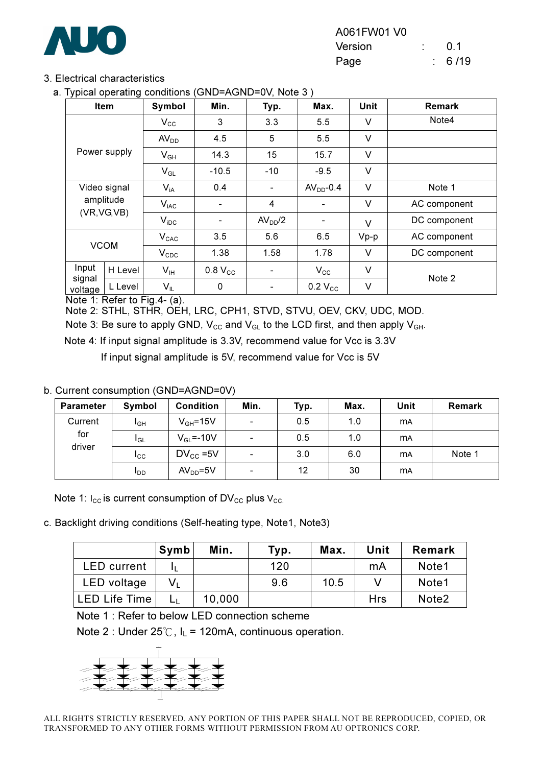

#### 3. Electrical characteristics

a. Typical operating conditions (GND=AGND=0V, Note 3 )

| . .               | Item         | Symbol           | Min.                     | Typ.                | Max.                     | <b>Unit</b> | <b>Remark</b> |
|-------------------|--------------|------------------|--------------------------|---------------------|--------------------------|-------------|---------------|
|                   |              | $V_{\rm CC}$     | 3                        | 3.3                 | 5.5                      | V           | Note4         |
|                   |              | AV <sub>DD</sub> | 4.5                      | 5                   | 5.5                      | V           |               |
|                   | Power supply | $V_{GH}$         | 14.3                     | 15                  | 15.7                     | V           |               |
|                   |              | $V_{GL}$         | $-10.5$                  | $-10$               | $-9.5$                   | V           |               |
|                   | Video signal | $V_{iA}$         | 0.4                      |                     | $AVDD-0.4$               | V           | Note 1        |
|                   | amplitude    | $V_{iAC}$        | $\overline{\phantom{a}}$ | 4                   |                          | V           | AC component  |
|                   | (VR, VG, VB) | $V_{\text{IDC}}$ | $\overline{\phantom{a}}$ | AV <sub>DD</sub> /2 | $\overline{\phantom{a}}$ | V           | DC component  |
|                   |              | $V_{CAC}$        | 3.5                      | 5.6                 | 6.5                      | $Vp-p$      | AC component  |
| <b>VCOM</b>       |              | $V_{\text{CDC}}$ | 1.38                     | 1.58                | 1.78                     | $\vee$      | DC component  |
| Input             | H Level      | V <sub>IH</sub>  | 0.8 V <sub>cc</sub>      | $\blacksquare$      | $V_{\rm CC}$             | V           | Note 2        |
| signal<br>voltage | L Level      | $V_{IL}$         | 0                        | -                   | $0.2$ $V_{CC}$           | V           |               |

Note 1: Refer to Fig.4- (a).

Note 2: STHL, STHR, OEH, LRC, CPH1, STVD, STVU, OEV, CKV, UDC, MOD.

Note 3: Be sure to apply GND,  $V_{CC}$  and  $V_{GL}$  to the LCD first, and then apply  $V_{GH}$ .

Note 4: If input signal amplitude is 3.3V, recommend value for Vcc is 3.3V

If input signal amplitude is 5V, recommend value for Vcc is 5V

#### b. Current consumption (GND=AGND=0V)

| <b>Parameter</b> | Symbol          | <b>Condition</b>  | Min.                     | Typ. | Max. | Unit      | <b>Remark</b> |
|------------------|-----------------|-------------------|--------------------------|------|------|-----------|---------------|
| Current          | l <sub>GH</sub> | $V_{GH} = 15V$    | $\overline{\phantom{a}}$ | 0.5  | 1.0  | <b>MA</b> |               |
| for<br>driver    | l <sub>GL</sub> | $V_{GL} = -10V$   | $\overline{\phantom{a}}$ | 0.5  | 1.0  | <b>MA</b> |               |
|                  | I <sub>CC</sub> | $DV_{\rm CC}$ =5V | $\overline{\phantom{a}}$ | 3.0  | 6.0  | <b>MA</b> | Note 1        |
|                  | <b>I</b> DD     | $AVDD=5V$         | $\overline{\phantom{a}}$ | 12   | 30   | <b>MA</b> |               |

Note 1:  $I_{CC}$  is current consumption of DV<sub>CC</sub> plus V<sub>CC</sub>.

c. Backlight driving conditions (Self-heating type, Note1, Note3)

|                    | Symb        | Min.   | Typ. | Max. | Unit | <b>Remark</b>     |
|--------------------|-------------|--------|------|------|------|-------------------|
| <b>LED</b> current |             |        | 120  |      | mA   | Note1             |
| LED voltage        | $V_{\perp}$ |        | 9.6  | 10.5 |      | Note1             |
| LED Life Time      |             | 10,000 |      |      | Hrs  | Note <sub>2</sub> |

Note 1 : Refer to below LED connection scheme

Note 2 : Under  $25^{\circ}$ C, I<sub>L</sub> = 120mA, continuous operation.

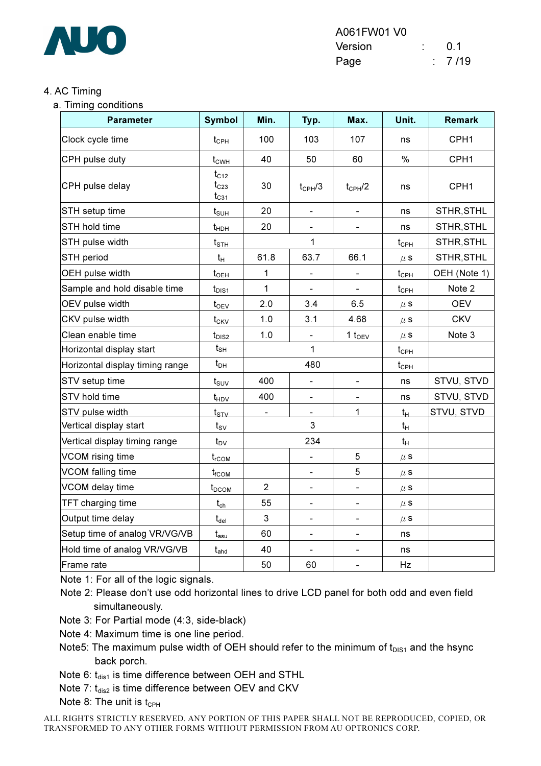

#### 4. AC Timing

a. Timing conditions

| <b>Parameter</b>                | <b>Symbol</b>                       | Min.           | Typ.                         | Max.                     | Unit.              | <b>Remark</b> |
|---------------------------------|-------------------------------------|----------------|------------------------------|--------------------------|--------------------|---------------|
| Clock cycle time                | $t_{\mathsf{CPH}}$                  | 100            | 103                          | 107                      | ns                 | CPH1          |
| CPH pulse duty                  | $t_{CWH}$                           | 40             | 50                           | 60                       | $\%$               | CPH1          |
| CPH pulse delay                 | $t_{C12}$<br>$t_{C23}$<br>$t_{C31}$ | 30             | $t_{CPH}/3$                  | $t_{CPH}$ /2             | ns                 | CPH1          |
| STH setup time                  | $t_{\text{SUH}}$                    | 20             | $\qquad \qquad \blacksquare$ | $\overline{\phantom{0}}$ | ns                 | STHR, STHL    |
| STH hold time                   | $t_{\text{HDH}}$                    | 20             |                              |                          | ns                 | STHR, STHL    |
| STH pulse width                 | $t_{\scriptscriptstyle\text{STH}}$  |                | 1                            |                          | $t_{\mathsf{CPH}}$ | STHR, STHL    |
| STH period                      | $t_H$                               | 61.8           | 63.7                         | 66.1                     | $\mu$ S            | STHR, STHL    |
| OEH pulse width                 | $t_{\text{OEH}}$                    | 1              | $\overline{\phantom{0}}$     | $\frac{1}{2}$            | $t_{\text{CPH}}$   | OEH (Note 1)  |
| Sample and hold disable time    | $t_{\text{DIS1}}$                   | $\mathbf{1}$   |                              |                          | $t_{\text{CPH}}$   | Note 2        |
| OEV pulse width                 | $t_{\text{OEV}}$                    | 2.0            | 3.4                          | 6.5                      | $\mu$ S            | <b>OEV</b>    |
| CKV pulse width                 | $t_{CKV}$                           | 1.0            | 3.1                          | 4.68                     | $\mu$ S            | <b>CKV</b>    |
| Clean enable time               | $t_{\text{DIS2}}$                   | 1.0            | $\overline{\phantom{0}}$     | 1 $t_{OEV}$              | $\mu$ s            | Note 3        |
| Horizontal display start        | $t_{\scriptstyle\text{SH}}$         |                | $\mathbf{1}$                 |                          | $t_{\mathsf{CPH}}$ |               |
| Horizontal display timing range | $t_{DH}$                            |                | 480                          |                          | $t_{\mathsf{CPH}}$ |               |
| STV setup time                  | $t_{\scriptstyle\text{SUV}}$        | 400            | $\blacksquare$               |                          | ns                 | STVU, STVD    |
| STV hold time                   | $t_{HDV}$                           | 400            | $\overline{\phantom{0}}$     |                          | ns                 | STVU, STVD    |
| STV pulse width                 | $t_{\scriptstyle\text{STV}}$        |                |                              | $\mathbf 1$              | $t_H$              | STVU, STVD    |
| Vertical display start          | $t_{\rm SV}$                        |                | 3                            |                          | $t_H$              |               |
| Vertical display timing range   | $t_{\text{DV}}$                     |                | 234                          |                          | $t_H$              |               |
| VCOM rising time                | $t_{rCOM}$                          |                | $\blacksquare$               | 5                        | $\mu$ s            |               |
| <b>VCOM falling time</b>        | $t_{\rm fCOM}$                      |                | $\qquad \qquad \blacksquare$ | 5                        | $\mu$ s            |               |
| VCOM delay time                 | t <sub>DCOM</sub>                   | $\overline{2}$ | $\blacksquare$               | $\blacksquare$           | $\mu$ s            |               |
| TFT charging time               | $t_{ch}$                            | 55             | $\blacksquare$               | $\blacksquare$           | $\mu$ S            |               |
| Output time delay               | $t_{\rm del}$                       | 3              | $\qquad \qquad \blacksquare$ | ÷                        | $\mu$ S            |               |
| Setup time of analog VR/VG/VB   | $t_{\mathsf{asu}}$                  | 60             | $\qquad \qquad \blacksquare$ | $\blacksquare$           | ns                 |               |
| Hold time of analog VR/VG/VB    | $t_{\mathsf{ahd}}$                  | 40             |                              | $\blacksquare$           | ns                 |               |
| Frame rate                      |                                     | 50             | 60                           | $\blacksquare$           | Hz                 |               |

Note 1: For all of the logic signals.

Note 2: Please don't use odd horizontal lines to drive LCD panel for both odd and even field simultaneously.

Note 3: For Partial mode (4:3, side-black)

Note 4: Maximum time is one line period.

Note5: The maximum pulse width of OEH should refer to the minimum of  $t_{DIS1}$  and the hsync back porch.

Note 6:  $t_{dis1}$  is time difference between OEH and STHL

Note 7:  $t_{dis2}$  is time difference between OEV and CKV

Note 8: The unit is  $t_{\text{CPH}}$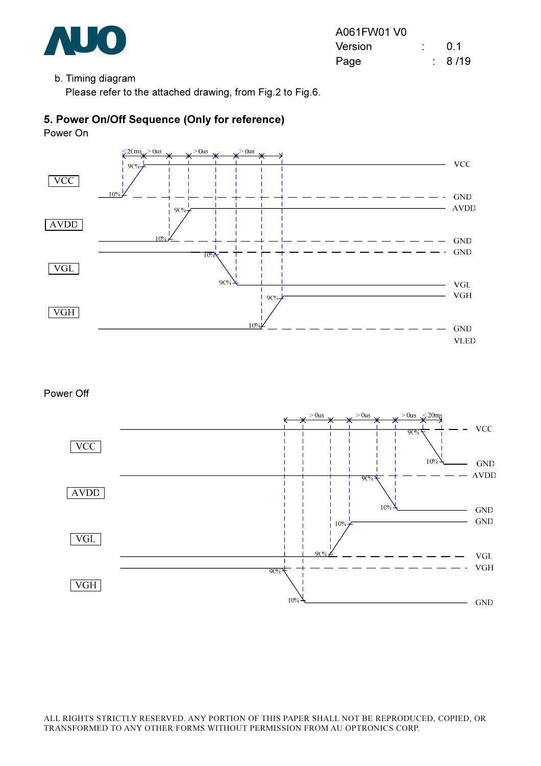

#### b. Timing diagram

Please refer to the attached drawing, from Fig.2 to Fig.6.

#### 5. Power On/Off Sequence (Only for reference)

Power On



#### Power Off

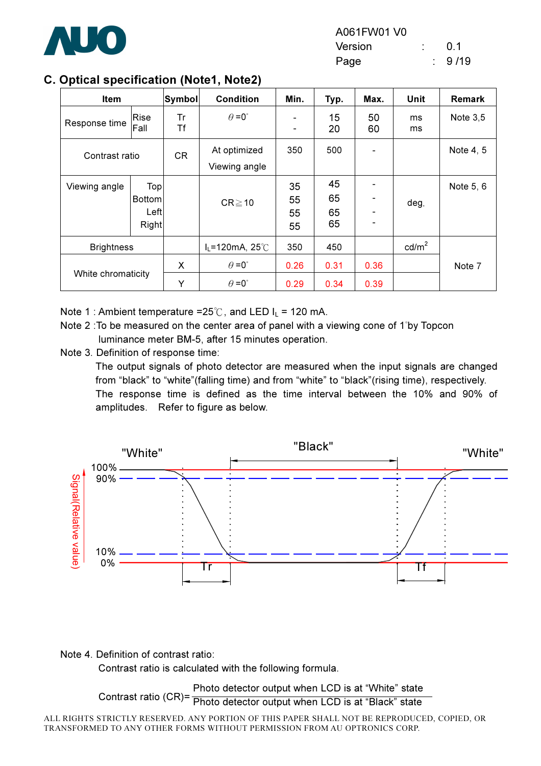

#### C. Optical specification (Note1, Note2)

| Item               |                                       | Symbol   | <b>Condition</b>                             | Min.                         | Typ.                 | Max.         | <b>Unit</b>     | Remark     |
|--------------------|---------------------------------------|----------|----------------------------------------------|------------------------------|----------------------|--------------|-----------------|------------|
| Response time      | Rise<br>Fall                          | Tr<br>Τf | $\theta = 0^{\circ}$                         | $\qquad \qquad \blacksquare$ | 15<br>20             | 50<br>60     | ms<br>ms        | Note $3,5$ |
| Contrast ratio     |                                       | CR       | At optimized<br>Viewing angle                | 350                          | 500                  |              |                 | Note 4, 5  |
| Viewing angle      | Top<br><b>Bottom</b><br>Left<br>Right |          | $CR \ge 10$                                  | 35<br>55<br>55<br>55         | 45<br>65<br>65<br>65 |              | deg.            | Note 5, 6  |
| <b>Brightness</b>  |                                       |          | $I_L$ =120mA, 25°C                           | 350                          | 450                  |              | $\text{cd/m}^2$ |            |
| White chromaticity |                                       | X<br>Υ   | $\theta = 0^{\circ}$<br>$\theta = 0^{\circ}$ | 0.26<br>0.29                 | 0.31<br>0.34         | 0.36<br>0.39 |                 | Note 7     |

Note 1 : Ambient temperature =25°C, and LED  $I_L$  = 120 mA.

- Note 2 :To be measured on the center area of panel with a viewing cone of 1"by Topcon luminance meter BM-5, after 15 minutes operation.
- Note 3. Definition of response time:

The output signals of photo detector are measured when the input signals are changed from "black" to "white"(falling time) and from "white" to "black"(rising time), respectively. The response time is defined as the time interval between the 10% and 90% of amplitudes. Refer to figure as below.



Note 4. Definition of contrast ratio:

Contrast ratio is calculated with the following formula.

Contrast ratio (CR)= **Pomilast ratio (OTY)** Photo detector output when LCD is at "Black" state Photo detector output when LCD is at "White" state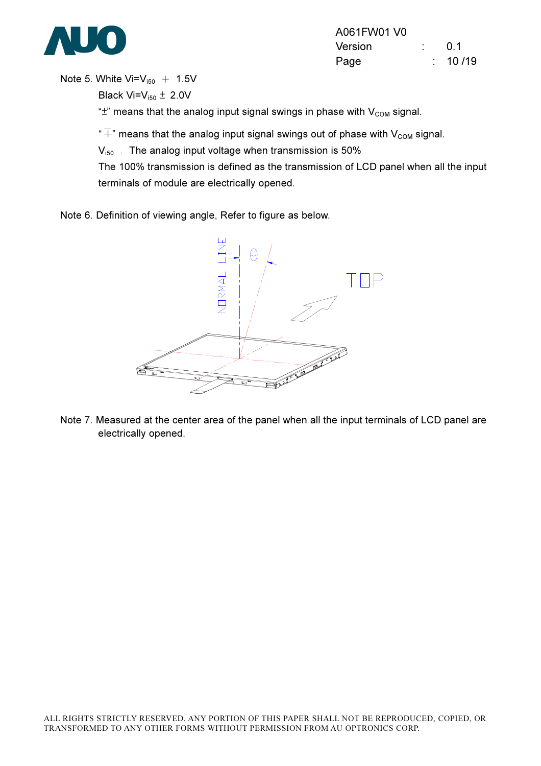

Note 5. White  $Vi=V_{150}$  + 1.5V

Black Vi= $V_{i50} \pm 2.0V$ 

" $\pm$ " means that the analog input signal swings in phase with  $V_{COM}$  signal.

 $\widetilde{f}^*$  means that the analog input signal swings out of phase with V<sub>com</sub> signal.

 $V_{150}$  : The analog input voltage when transmission is 50%

The 100% transmission is defined as the transmission of LCD panel when all the input terminals of module are electrically opened.

Note 6. Definition of viewing angle, Refer to figure as below.



Note 7. Measured at the center area of the panel when all the input terminals of LCD panel are electrically opened.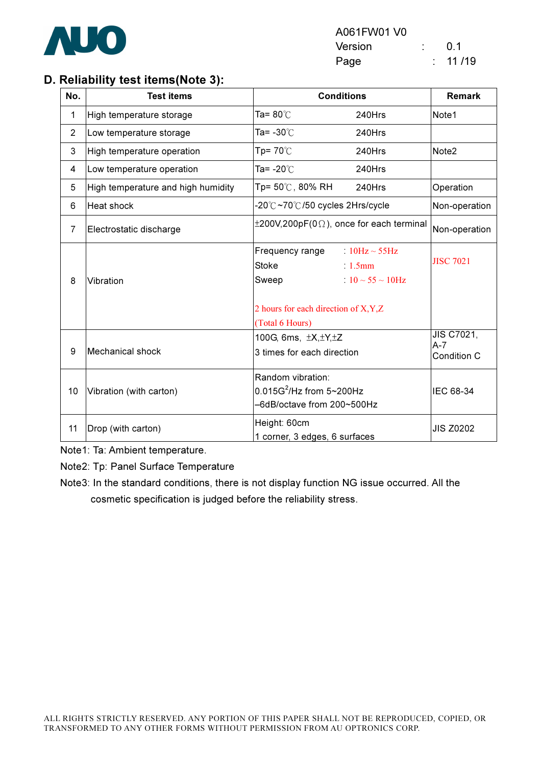

#### D. Reliability test items(Note 3):

| No.            | <b>Test items</b>                  | <b>Conditions</b>                                                                     | <b>Remark</b>                                           |                   |
|----------------|------------------------------------|---------------------------------------------------------------------------------------|---------------------------------------------------------|-------------------|
| 1              | High temperature storage           | Ta= 80 $^{\circ}$ C                                                                   | 240Hrs                                                  | Note1             |
| $\overline{2}$ | Low temperature storage            | Ta= -30℃                                                                              | 240Hrs                                                  |                   |
| 3              | High temperature operation         | Tp= $70^{\circ}$ C                                                                    | 240Hrs                                                  | Note <sub>2</sub> |
| 4              | Low temperature operation          | Ta= -20℃                                                                              | 240Hrs                                                  |                   |
| 5              | High temperature and high humidity | Tp= 50℃, 80% RH                                                                       | 240Hrs                                                  | Operation         |
| 6              | Heat shock                         | -20℃~70℃/50 cycles 2Hrs/cycle                                                         | Non-operation                                           |                   |
| 7              | Electrostatic discharge            | $\pm 200V, 200pF(0\Omega)$ , once for each terminal                                   |                                                         | Non-operation     |
| 8              | Vibration                          | Frequency range<br>Stoke<br>Sweep                                                     | $10Hz \sim 55Hz$<br>$1.5$ mm<br>$10 \sim 55 \sim 10$ Hz | <b>JISC 7021</b>  |
|                |                                    | 2 hours for each direction of X, Y, Z<br>(Total 6 Hours)                              |                                                         |                   |
| 9              | Mechanical shock                   | 100G, 6ms, ±X, ±Y, ±Z<br>3 times for each direction                                   | JIS C7021,<br>$A-7$<br>Condition C                      |                   |
| 10             | Vibration (with carton)            | Random vibration:<br>$0.015G^2$ /Hz from $5 \sim 200Hz$<br>-6dB/octave from 200~500Hz | IEC 68-34                                               |                   |
| 11             | Drop (with carton)                 | Height: 60cm<br>1 corner, 3 edges, 6 surfaces                                         |                                                         | <b>JIS Z0202</b>  |

Note1: Ta: Ambient temperature.

Note2: Tp: Panel Surface Temperature

Note3: In the standard conditions, there is not display function NG issue occurred. All the cosmetic specification is judged before the reliability stress.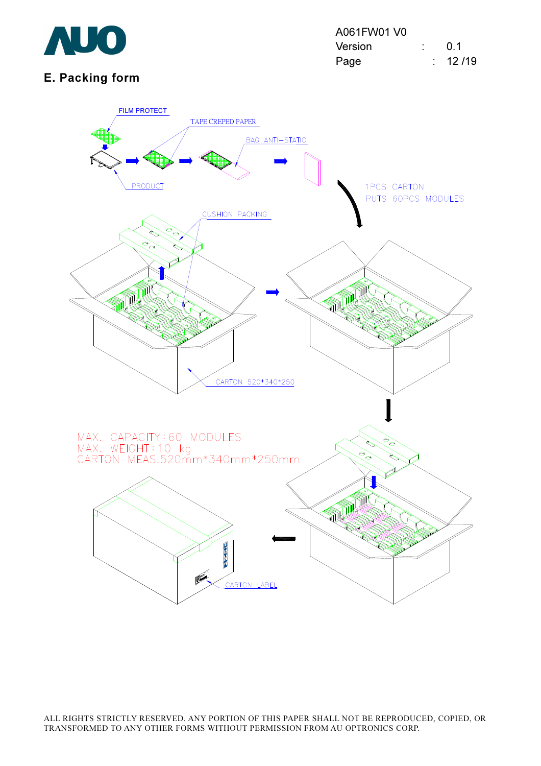

### E. Packing form

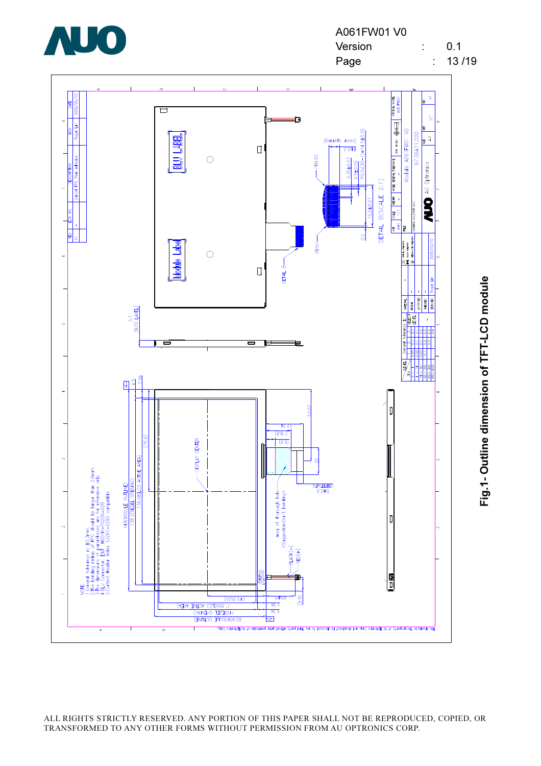



Fig.1- Outline dimension of TFT-LCD module Fig.1- Outline dimension of TFT-LCD module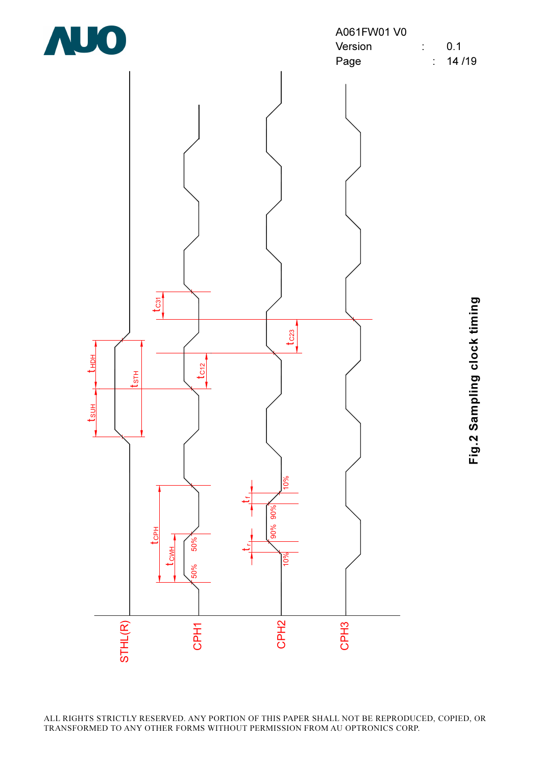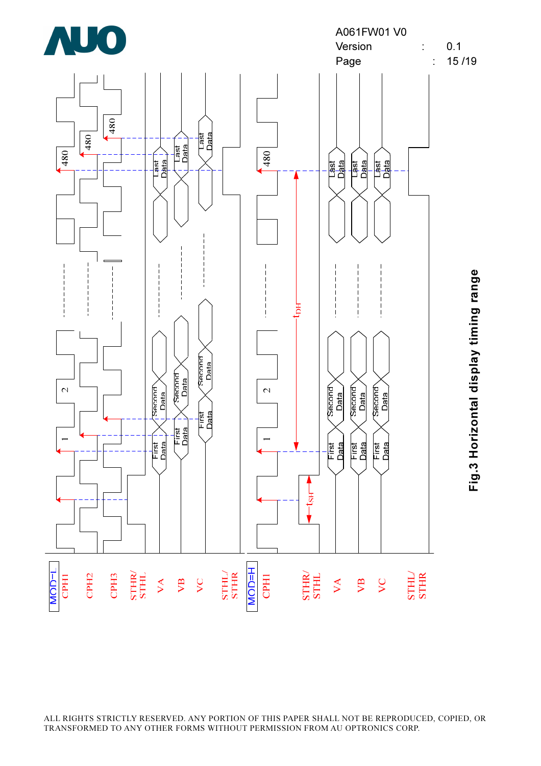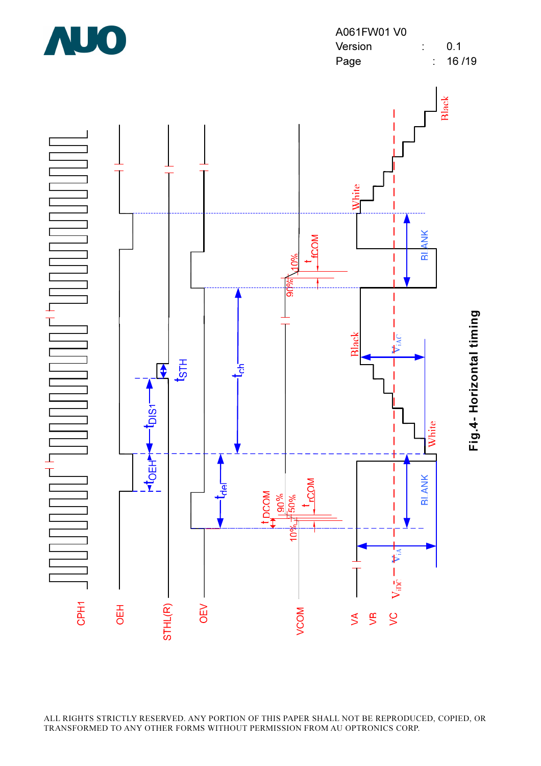

A061FW01 V0 Version : 0.1 Page : 16/19

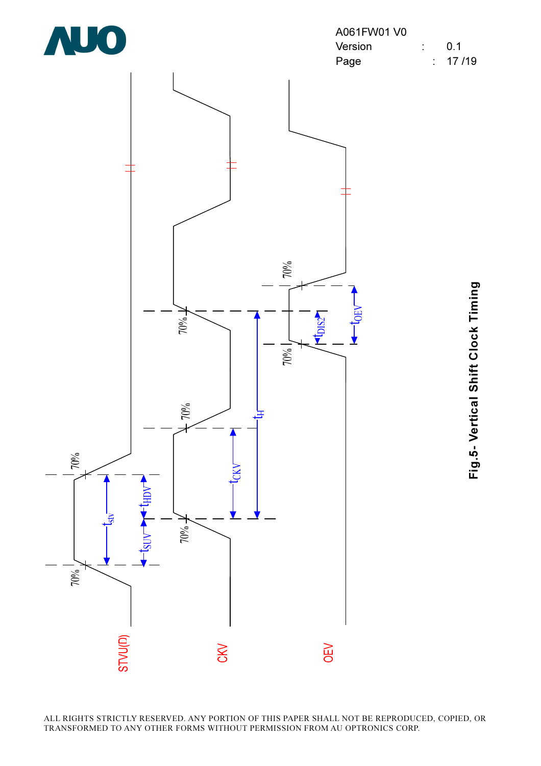

| A061FW01 V0 |  |              |
|-------------|--|--------------|
| Version     |  | 0.1          |
| Page        |  | $\div$ 17/19 |



Fig.5- Vertical Shift Clock Timing Fig.5- Vertical Shift Clock Timing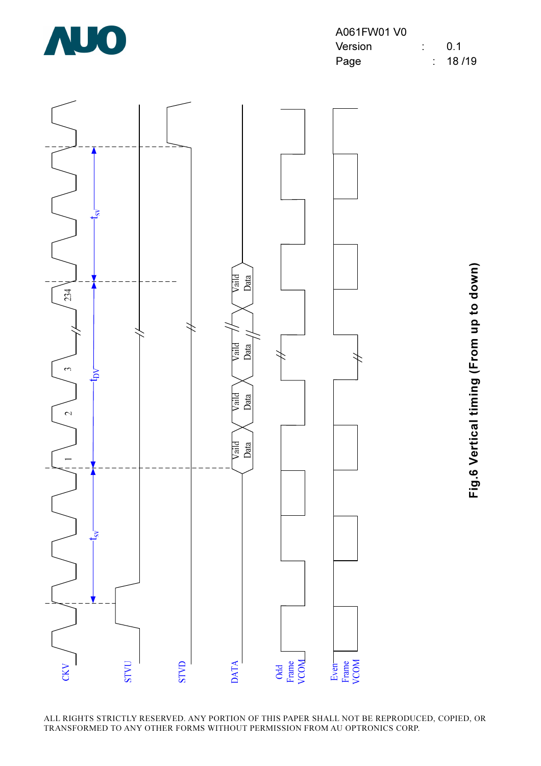![](_page_20_Picture_0.jpeg)

| A061FW01 V0 |  |                |
|-------------|--|----------------|
| Version     |  | 0 <sub>1</sub> |
| Page        |  | : 18/19        |

![](_page_20_Figure_2.jpeg)

Fig.6 Vertical timing (From up to down) Fig.6 Vertical timing (From up to down)